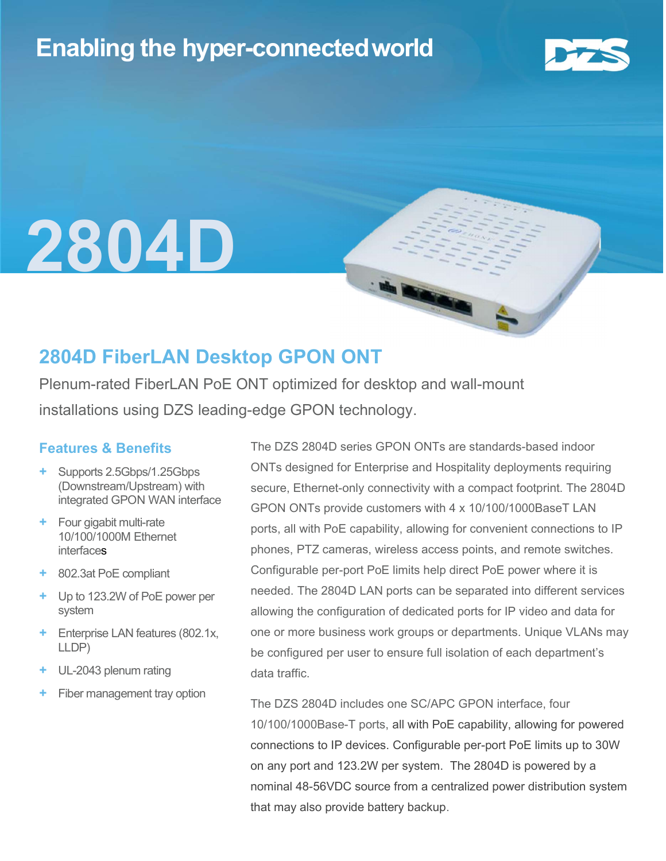## Enabling the hyper-connectedworld



L

# 2804D

### 2804D FiberLAN Desktop GPON ONT

Plenum-rated FiberLAN PoE ONT optimized for desktop and wall-mount installations using DZS leading-edge GPON technology.

#### Features & Benefits

- + Supports 2.5Gbps/1.25Gbps (Downstream/Upstream) with integrated GPON WAN interface
- + Four gigabit multi-rate 10/100/1000M Ethernet interfaces
- + 802.3at PoE compliant
- + Up to 123.2W of PoE power per system
- + Enterprise LAN features (802.1x, LLDP)
- UL-2043 plenum rating
- Fiber management tray option

The DZS 2804D series GPON ONTs are standards-based indoor ONTs designed for Enterprise and Hospitality deployments requiring secure, Ethernet-only connectivity with a compact footprint. The 2804D GPON ONTs provide customers with 4 x 10/100/1000BaseT LAN ports, all with PoE capability, allowing for convenient connections to IP phones, PTZ cameras, wireless access points, and remote switches. Configurable per-port PoE limits help direct PoE power where it is needed. The 2804D LAN ports can be separated into different services allowing the configuration of dedicated ports for IP video and data for one or more business work groups or departments. Unique VLANs may be configured per user to ensure full isolation of each department's data traffic.

The DZS 2804D includes one SC/APC GPON interface, four 10/100/1000Base-T ports, all with PoE capability, allowing for powered connections to IP devices. Configurable per-port PoE limits up to 30W on any port and 123.2W per system. The 2804D is powered by a nominal 48-56VDC source from a centralized power distribution system that may also provide battery backup.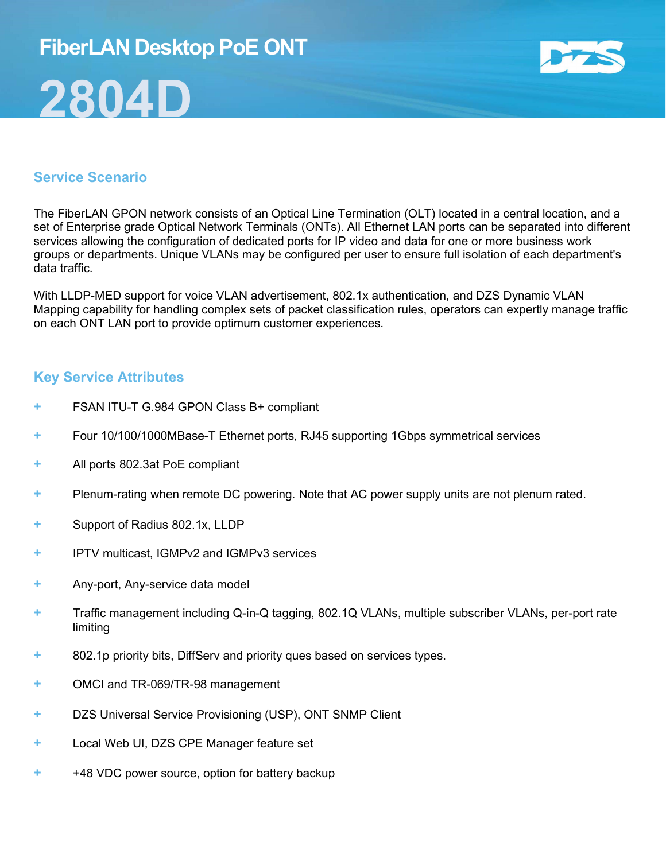## FiberLAN Desktop PoE ONT 2804D



#### Service Scenario

The FiberLAN GPON network consists of an Optical Line Termination (OLT) located in a central location, and a set of Enterprise grade Optical Network Terminals (ONTs). All Ethernet LAN ports can be separated into different services allowing the configuration of dedicated ports for IP video and data for one or more business work groups or departments. Unique VLANs may be configured per user to ensure full isolation of each department's data traffic.

With LLDP-MED support for voice VLAN advertisement, 802.1x authentication, and DZS Dynamic VLAN Mapping capability for handling complex sets of packet classification rules, operators can expertly manage traffic on each ONT LAN port to provide optimum customer experiences.

#### Key Service Attributes

- FSAN ITU-T G.984 GPON Class B+ compliant
- + Four 10/100/1000MBase-T Ethernet ports, RJ45 supporting 1Gbps symmetrical services
- + All ports 802.3at PoE compliant
- + Plenum-rating when remote DC powering. Note that AC power supply units are not plenum rated.
- + Support of Radius 802.1x, LLDP
- + IPTV multicast, IGMPv2 and IGMPv3 services
- + Any-port, Any-service data model
- + Traffic management including Q-in-Q tagging, 802.1Q VLANs, multiple subscriber VLANs, per-port rate limiting
- + 802.1p priority bits, DiffServ and priority ques based on services types.
- + OMCI and TR-069/TR-98 management
- + DZS Universal Service Provisioning (USP), ONT SNMP Client
- + Local Web UI, DZS CPE Manager feature set
- + +48 VDC power source, option for battery backup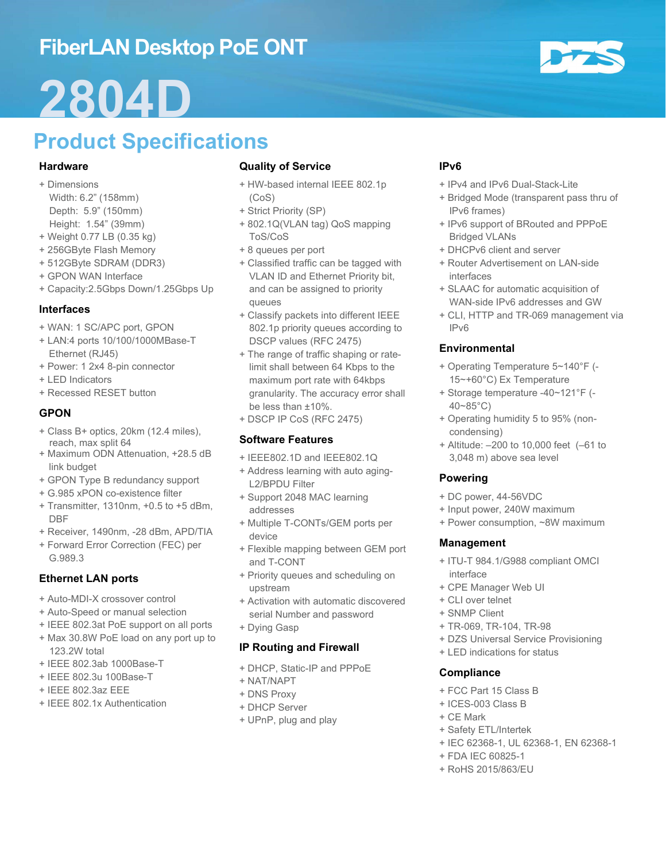## FiberLAN Desktop PoE ONT

## 2804D

## Product Specifications

#### **Hardware**

- + Dimensions Width: 6.2" (158mm) Depth: 5.9" (150mm) Height: 1.54" (39mm)
- + Weight 0.77 LB (0.35 kg)
- + 256GByte Flash Memory
- + 512GByte SDRAM (DDR3)
- + GPON WAN Interface
- + Capacity:2.5Gbps Down/1.25Gbps Up

#### Interfaces

- + WAN: 1 SC/APC port, GPON
- + LAN:4 ports 10/100/1000MBase-T Ethernet (RJ45)
- + Power: 1 2x4 8-pin connector
- + LED Indicators
- + Recessed RESET button

#### GPON

- + Class B+ optics, 20km (12.4 miles), reach, max split 64
- + Maximum ODN Attenuation, +28.5 dB link budget
- + GPON Type B redundancy support
- + G.985 xPON co-existence filter
- + Transmitter, 1310nm, +0.5 to +5 dBm, DBF
- + Receiver, 1490nm, -28 dBm, APD/TIA
- + Forward Error Correction (FEC) per G.989.3

#### Ethernet LAN ports

- + Auto-MDI-X crossover control
- + Auto-Speed or manual selection
- + IEEE 802.3at PoE support on all ports
- + Max 30.8W PoE load on any port up to 123.2W total
- + IEEE 802.3ab 1000Base-T
- + IEEE 802.3u 100Base-T
- + IEEE 802.3az EEE
- + IEEE 802.1x Authentication

#### Quality of Service

- + HW-based internal IEEE 802.1p (CoS)
- + Strict Priority (SP)
- + 802.1Q(VLAN tag) QoS mapping ToS/CoS
- + 8 queues per port
- + Classified traffic can be tagged with VLAN ID and Ethernet Priority bit, and can be assigned to priority queues
- + Classify packets into different IEEE 802.1p priority queues according to DSCP values (RFC 2475)
- + The range of traffic shaping or ratelimit shall between 64 Kbps to the maximum port rate with 64kbps granularity. The accuracy error shall be less than ±10%.
- + DSCP IP CoS (RFC 2475)

#### Software Features

- + IEEE802.1D and IEEE802.1Q
- + Address learning with auto aging-L2/BPDU Filter
- + Support 2048 MAC learning addresses
- + Multiple T-CONTs/GEM ports per device
- + Flexible mapping between GEM port and T-CONT
- + Priority queues and scheduling on upstream
- + Activation with automatic discovered serial Number and password
- + Dying Gasp

#### IP Routing and Firewall

- + DHCP, Static-IP and PPPoE
- + NAT/NAPT
- + DNS Proxy
- + DHCP Server
- + UPnP, plug and play

#### IPv6

- + IPv4 and IPv6 Dual-Stack-Lite
- + Bridged Mode (transparent pass thru of IPv6 frames)
- + IPv6 support of BRouted and PPPoE Bridged VLANs
- + DHCPv6 client and server
- + Router Advertisement on LAN-side interfaces
- + SLAAC for automatic acquisition of WAN-side IPv6 addresses and GW
- + CLI, HTTP and TR-069 management via IPv6

#### Environmental

- + Operating Temperature 5~140°F (- 15~+60°C) Ex Temperature
- + Storage temperature -40~121°F (- 40~85°C)
- + Operating humidity 5 to 95% (noncondensing)
- + Altitude: –200 to 10,000 feet (–61 to 3,048 m) above sea level

#### Powering

- + DC power, 44-56VDC
- + Input power, 240W maximum
- + Power consumption, ~8W maximum

#### Management

- + ITU-T 984.1/G988 compliant OMCI interface
- + CPE Manager Web UI
- + CLI over telnet
- + SNMP Client
- + TR-069, TR-104, TR-98
- + DZS Universal Service Provisioning
- + LED indications for status

#### **Compliance**

- + FCC Part 15 Class B
- + ICES-003 Class B
- + CE Mark
- + Safety ETL/Intertek
- + IEC 62368-1, UL 62368-1, EN 62368-1
- + FDA IEC 60825-1
- + RoHS 2015/863/EU